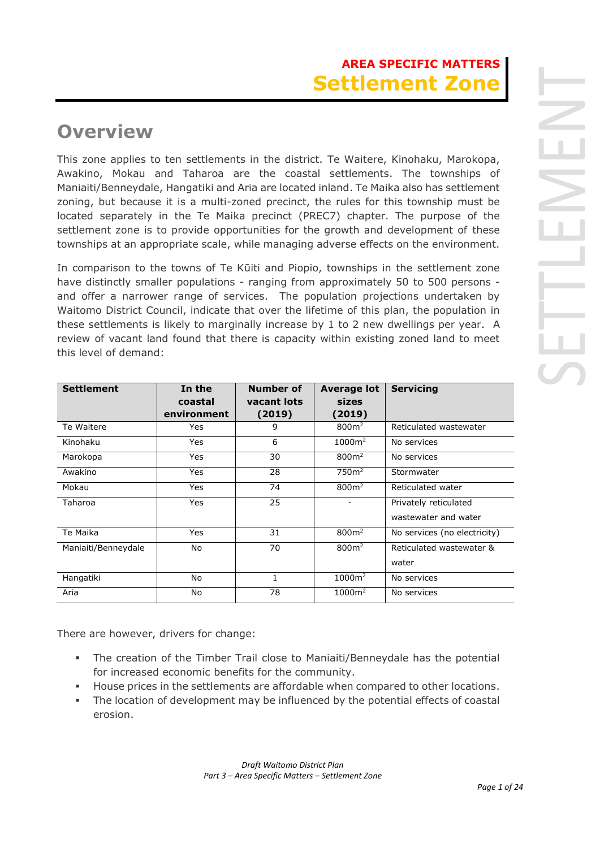# **Overview**

This zone applies to ten settlements in the district. Te Waitere, Kinohaku, Marokopa, Awakino, Mokau and Taharoa are the coastal settlements. The townships of Maniaiti/Benneydale, Hangatiki and Aria are located inland. Te Maika also has settlement zoning, but because it is a multi-zoned precinct, the rules for this township must be located separately in the Te Maika precinct (PREC7) chapter. The purpose of the settlement zone is to provide opportunities for the growth and development of these townships at an appropriate scale, while managing adverse effects on the environment.

In comparison to the towns of Te Kūiti and Piopio, townships in the settlement zone have distinctly smaller populations - ranging from approximately 50 to 500 persons and offer a narrower range of services. The population projections undertaken by Waitomo District Council, indicate that over the lifetime of this plan, the population in these settlements is likely to marginally increase by 1 to 2 new dwellings per year. A review of vacant land found that there is capacity within existing zoned land to meet this level of demand:

| <b>Settlement</b>   | In the<br>coastal<br>environment | Number of<br>vacant lots<br>(2019) | <b>Average lot</b><br>sizes<br>(2019) | <b>Servicing</b>                              |
|---------------------|----------------------------------|------------------------------------|---------------------------------------|-----------------------------------------------|
| Te Waitere          | Yes                              | 9                                  | 800m <sup>2</sup>                     | Reticulated wastewater                        |
| Kinohaku            | Yes                              | 6                                  | $1000m^2$                             | No services                                   |
| Marokopa            | Yes                              | 30                                 | 800 <sup>m²</sup>                     | No services                                   |
| Awakino             | Yes                              | 28                                 | 750m <sup>2</sup>                     | Stormwater                                    |
| Mokau               | Yes                              | 74                                 | 800 <sup>m²</sup>                     | Reticulated water                             |
| Taharoa             | Yes                              | 25                                 |                                       | Privately reticulated<br>wastewater and water |
| Te Maika            | Yes                              | 31                                 | 800 <sup>m²</sup>                     | No services (no electricity)                  |
| Maniaiti/Benneydale | No                               | 70                                 | 800m <sup>2</sup>                     | Reticulated wastewater &<br>water             |
| Hangatiki           | No                               | $\mathbf{1}$                       | $1000m^2$                             | No services                                   |
| Aria                | No                               | 78                                 | 1000m <sup>2</sup>                    | No services                                   |

There are however, drivers for change:

- The creation of the Timber Trail close to Maniaiti/Benneydale has the potential for increased economic benefits for the community.
- House prices in the settlements are affordable when compared to other locations.
- The location of development may be influenced by the potential effects of coastal erosion.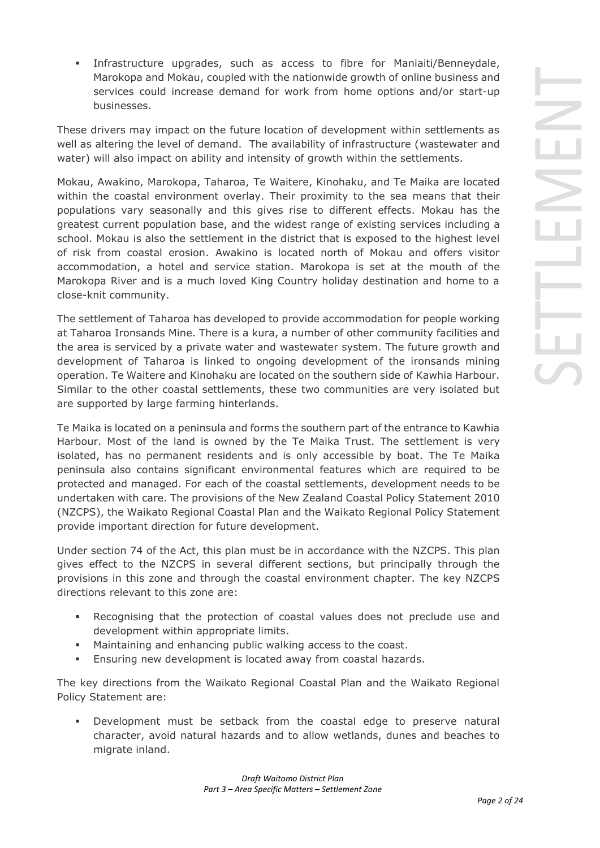▪ Infrastructure upgrades, such as access to fibre for Maniaiti/Benneydale, Marokopa and Mokau, coupled with the nationwide growth of online business and services could increase demand for work from home options and/or start-up businesses.

These drivers may impact on the future location of development within settlements as well as altering the level of demand. The availability of infrastructure (wastewater and water) will also impact on ability and intensity of growth within the settlements.

Mokau, Awakino, Marokopa, Taharoa, Te Waitere, Kinohaku, and Te Maika are located within the coastal environment overlay. Their proximity to the sea means that their populations vary seasonally and this gives rise to different effects. Mokau has the greatest current population base, and the widest range of existing services including a school. Mokau is also the settlement in the district that is exposed to the highest level of risk from coastal erosion. Awakino is located north of Mokau and offers visitor accommodation, a hotel and service station. Marokopa is set at the mouth of the Marokopa River and is a much loved King Country holiday destination and home to a close-knit community.

The settlement of Taharoa has developed to provide accommodation for people working at Taharoa Ironsands Mine. There is a kura, a number of other community facilities and the area is serviced by a private water and wastewater system. The future growth and development of Taharoa is linked to ongoing development of the ironsands mining operation. Te Waitere and Kinohaku are located on the southern side of Kawhia Harbour. Similar to the other coastal settlements, these two communities are very isolated but are supported by large farming hinterlands.

Te Maika is located on a peninsula and forms the southern part of the entrance to Kawhia Harbour. Most of the land is owned by the Te Maika Trust. The settlement is very isolated, has no permanent residents and is only accessible by boat. The Te Maika peninsula also contains significant environmental features which are required to be protected and managed. For each of the coastal settlements, development needs to be undertaken with care. The provisions of the New Zealand Coastal Policy Statement 2010 (NZCPS), the Waikato Regional Coastal Plan and the Waikato Regional Policy Statement provide important direction for future development.

Under section 74 of the Act, this plan must be in accordance with the NZCPS. This plan gives effect to the NZCPS in several different sections, but principally through the provisions in this zone and through the coastal environment chapter. The key NZCPS directions relevant to this zone are:

- Recognising that the protection of coastal values does not preclude use and development within appropriate limits.
- Maintaining and enhancing public walking access to the coast.
- **Ensuring new development is located away from coastal hazards.**

The key directions from the Waikato Regional Coastal Plan and the Waikato Regional Policy Statement are:

Development must be setback from the coastal edge to preserve natural character, avoid natural hazards and to allow wetlands, dunes and beaches to migrate inland.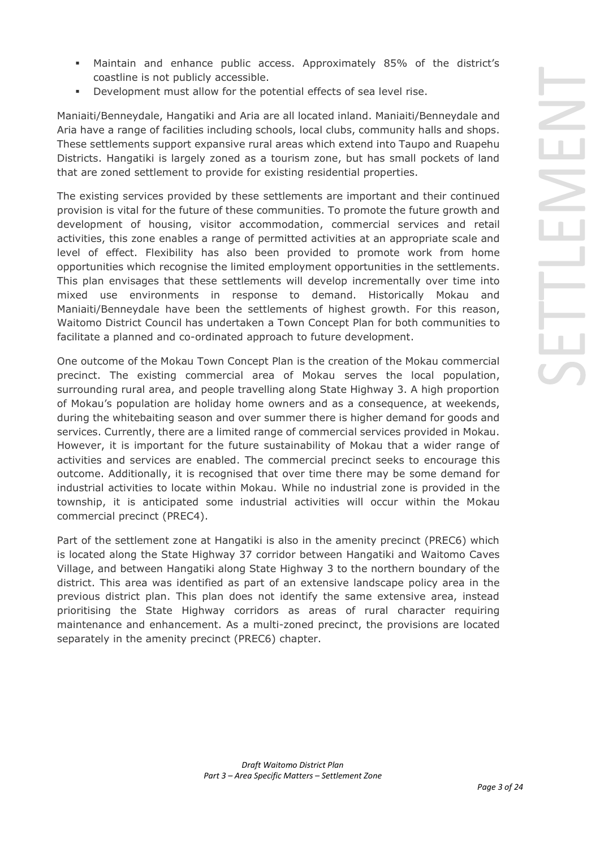- Maintain and enhance public access. Approximately 85% of the district's coastline is not publicly accessible.
- Development must allow for the potential effects of sea level rise.

Maniaiti/Benneydale, Hangatiki and Aria are all located inland. Maniaiti/Benneydale and Aria have a range of facilities including schools, local clubs, community halls and shops. These settlements support expansive rural areas which extend into Taupo and Ruapehu Districts. Hangatiki is largely zoned as a tourism zone, but has small pockets of land that are zoned settlement to provide for existing residential properties.

The existing services provided by these settlements are important and their continued provision is vital for the future of these communities. To promote the future growth and development of housing, visitor accommodation, commercial services and retail activities, this zone enables a range of permitted activities at an appropriate scale and level of effect. Flexibility has also been provided to promote work from home opportunities which recognise the limited employment opportunities in the settlements. This plan envisages that these settlements will develop incrementally over time into mixed use environments in response to demand. Historically Mokau and Maniaiti/Benneydale have been the settlements of highest growth. For this reason, Waitomo District Council has undertaken a Town Concept Plan for both communities to facilitate a planned and co-ordinated approach to future development.

One outcome of the Mokau Town Concept Plan is the creation of the Mokau commercial precinct. The existing commercial area of Mokau serves the local population, surrounding rural area, and people travelling along State Highway 3. A high proportion of Mokau's population are holiday home owners and as a consequence, at weekends, during the whitebaiting season and over summer there is higher demand for goods and services. Currently, there are a limited range of commercial services provided in Mokau. However, it is important for the future sustainability of Mokau that a wider range of activities and services are enabled. The commercial precinct seeks to encourage this outcome. Additionally, it is recognised that over time there may be some demand for industrial activities to locate within Mokau. While no industrial zone is provided in the township, it is anticipated some industrial activities will occur within the Mokau commercial precinct (PREC4).

Part of the settlement zone at Hangatiki is also in the amenity precinct (PREC6) which is located along the State Highway 37 corridor between Hangatiki and Waitomo Caves Village, and between Hangatiki along State Highway 3 to the northern boundary of the district. This area was identified as part of an extensive landscape policy area in the previous district plan. This plan does not identify the same extensive area, instead prioritising the State Highway corridors as areas of rural character requiring maintenance and enhancement. As a multi-zoned precinct, the provisions are located separately in the amenity precinct (PREC6) chapter.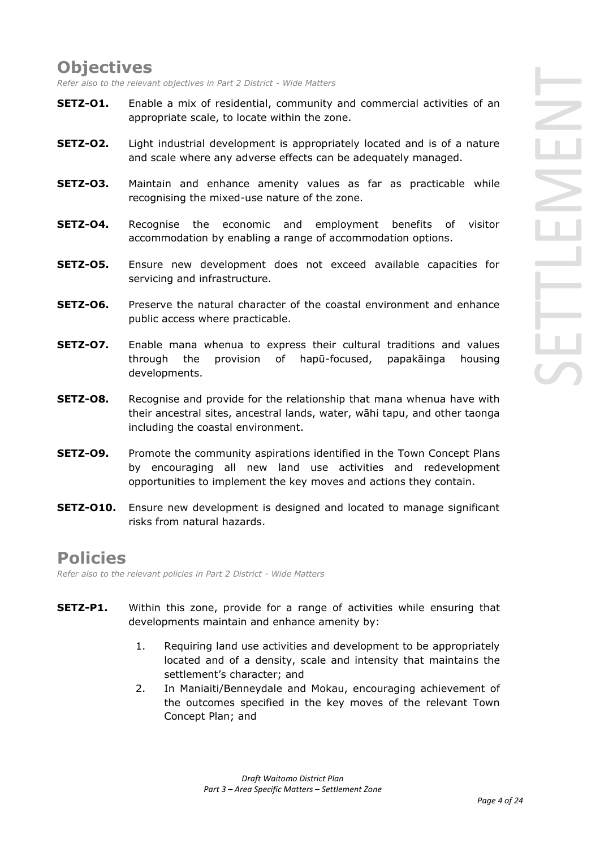# **Objectives**

*Refer also to the relevant objectives in Part 2 District - Wide Matters* 

- **SETZ-O1.** Enable a mix of residential, community and commercial activities of an appropriate scale, to locate within the zone.
- **SETZ-O2.** Light industrial development is appropriately located and is of a nature and scale where any adverse effects can be adequately managed.
- **SETZ-O3.** Maintain and enhance amenity values as far as practicable while recognising the mixed-use nature of the zone.
- **SETZ-O4.** Recognise the economic and employment benefits of visitor accommodation by enabling a range of accommodation options.
- **SETZ-O5.** Ensure new development does not exceed available capacities for servicing and infrastructure.
- **SETZ-O6.** Preserve the natural character of the coastal environment and enhance public access where practicable.
- **SETZ-O7.** Enable mana whenua to express their cultural traditions and values through the provision of hapū-focused, papakāinga housing developments.
- **SETZ-O8.** Recognise and provide for the relationship that mana whenua have with their ancestral sites, ancestral lands, water, wāhi tapu, and other taonga including the coastal environment.
- **SETZ-O9.** Promote the community aspirations identified in the Town Concept Plans by encouraging all new land use activities and redevelopment opportunities to implement the key moves and actions they contain.
- **SETZ-O10.** Ensure new development is designed and located to manage significant risks from natural hazards.

# **Policies**

*Refer also to the relevant policies in Part 2 District - Wide Matters* 

- **SETZ-P1.** Within this zone, provide for a range of activities while ensuring that developments maintain and enhance amenity by:
	- 1. Requiring land use activities and development to be appropriately located and of a density, scale and intensity that maintains the settlement's character; and
	- 2. In Maniaiti/Benneydale and Mokau, encouraging achievement of the outcomes specified in the key moves of the relevant Town Concept Plan; and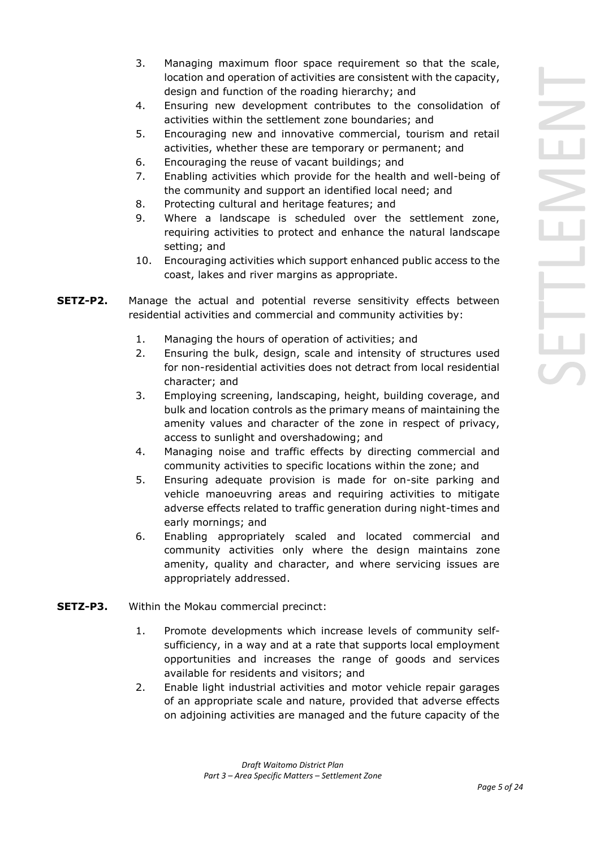- 3. Managing maximum floor space requirement so that the scale, location and operation of activities are consistent with the capacity, design and function of the roading hierarchy; and
- 4. Ensuring new development contributes to the consolidation of activities within the settlement zone boundaries; and
- 5. Encouraging new and innovative commercial, tourism and retail activities, whether these are temporary or permanent; and
- 6. Encouraging the reuse of vacant buildings; and
- 7. Enabling activities which provide for the health and well-being of the community and support an identified local need; and
- 8. Protecting cultural and heritage features; and
- 9. Where a landscape is scheduled over the settlement zone, requiring activities to protect and enhance the natural landscape setting; and
- 10. Encouraging activities which support enhanced public access to the coast, lakes and river margins as appropriate.
- **SETZ-P2.** Manage the actual and potential reverse sensitivity effects between residential activities and commercial and community activities by:
	- 1. Managing the hours of operation of activities; and
	- 2. Ensuring the bulk, design, scale and intensity of structures used for non-residential activities does not detract from local residential character; and
	- 3. Employing screening, landscaping, height, building coverage, and bulk and location controls as the primary means of maintaining the amenity values and character of the zone in respect of privacy, access to sunlight and overshadowing; and
	- 4. Managing noise and traffic effects by directing commercial and community activities to specific locations within the zone; and
	- 5. Ensuring adequate provision is made for on-site parking and vehicle manoeuvring areas and requiring activities to mitigate adverse effects related to traffic generation during night-times and early mornings; and
	- 6. Enabling appropriately scaled and located commercial and community activities only where the design maintains zone amenity, quality and character, and where servicing issues are appropriately addressed.
- **SETZ-P3.** Within the Mokau commercial precinct:
	- 1. Promote developments which increase levels of community selfsufficiency, in a way and at a rate that supports local employment opportunities and increases the range of goods and services available for residents and visitors; and
	- 2. Enable light industrial activities and motor vehicle repair garages of an appropriate scale and nature, provided that adverse effects on adjoining activities are managed and the future capacity of the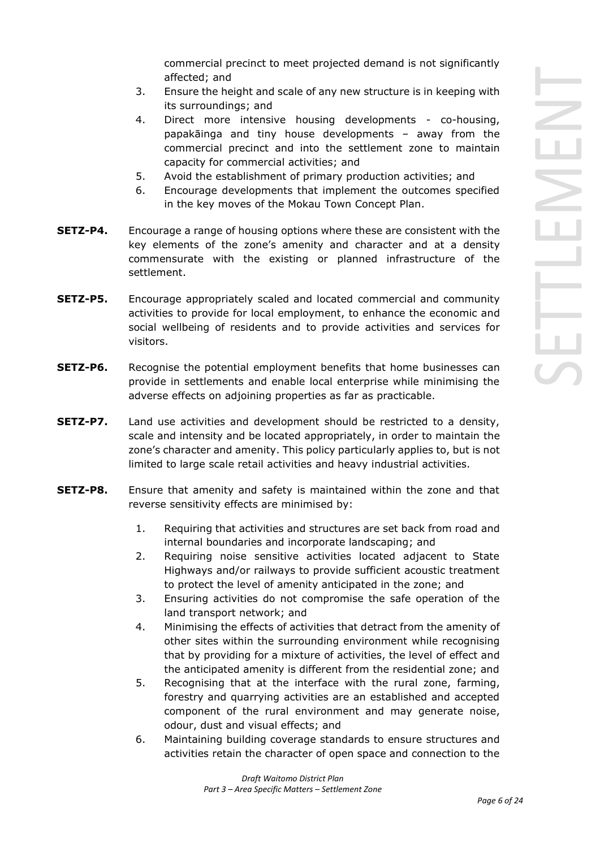commercial precinct to meet projected demand is not significantly affected; and

- 3. Ensure the height and scale of any new structure is in keeping with its surroundings; and
- 4. Direct more intensive housing developments co-housing, papakāinga and tiny house developments – away from the commercial precinct and into the settlement zone to maintain capacity for commercial activities; and
- 5. Avoid the establishment of primary production activities; and
- 6. Encourage developments that implement the outcomes specified in the key moves of the Mokau Town Concept Plan.
- **SETZ-P4.** Encourage a range of housing options where these are consistent with the key elements of the zone's amenity and character and at a density commensurate with the existing or planned infrastructure of the settlement.
- **SETZ-P5.** Encourage appropriately scaled and located commercial and community activities to provide for local employment, to enhance the economic and social wellbeing of residents and to provide activities and services for visitors.
- **SETZ-P6.** Recognise the potential employment benefits that home businesses can provide in settlements and enable local enterprise while minimising the adverse effects on adjoining properties as far as practicable.
- **SETZ-P7.** Land use activities and development should be restricted to a density, scale and intensity and be located appropriately, in order to maintain the zone's character and amenity. This policy particularly applies to, but is not limited to large scale retail activities and heavy industrial activities.
- **SETZ-P8.** Ensure that amenity and safety is maintained within the zone and that reverse sensitivity effects are minimised by:
	- 1. Requiring that activities and structures are set back from road and internal boundaries and incorporate landscaping; and
	- 2. Requiring noise sensitive activities located adjacent to State Highways and/or railways to provide sufficient acoustic treatment to protect the level of amenity anticipated in the zone; and
	- 3. Ensuring activities do not compromise the safe operation of the land transport network; and
	- 4. Minimising the effects of activities that detract from the amenity of other sites within the surrounding environment while recognising that by providing for a mixture of activities, the level of effect and the anticipated amenity is different from the residential zone; and
	- 5. Recognising that at the interface with the rural zone, farming, forestry and quarrying activities are an established and accepted component of the rural environment and may generate noise, odour, dust and visual effects; and
	- 6. Maintaining building coverage standards to ensure structures and activities retain the character of open space and connection to the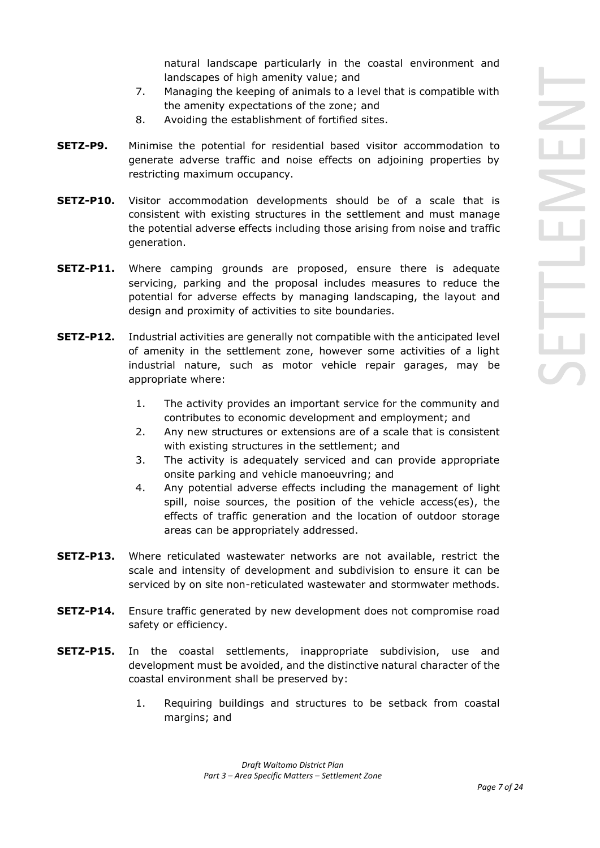natural landscape particularly in the coastal environment and landscapes of high amenity value; and

- 7. Managing the keeping of animals to a level that is compatible with the amenity expectations of the zone; and
- 8. Avoiding the establishment of fortified sites.
- **SETZ-P9.** Minimise the potential for residential based visitor accommodation to generate adverse traffic and noise effects on adjoining properties by restricting maximum occupancy.
- **SETZ-P10.** Visitor accommodation developments should be of a scale that is consistent with existing structures in the settlement and must manage the potential adverse effects including those arising from noise and traffic generation.
- **SETZ-P11.** Where camping grounds are proposed, ensure there is adequate servicing, parking and the proposal includes measures to reduce the potential for adverse effects by managing landscaping, the layout and design and proximity of activities to site boundaries.
- **SETZ-P12.** Industrial activities are generally not compatible with the anticipated level of amenity in the settlement zone, however some activities of a light industrial nature, such as motor vehicle repair garages, may be appropriate where:
	- 1. The activity provides an important service for the community and contributes to economic development and employment; and
	- 2. Any new structures or extensions are of a scale that is consistent with existing structures in the settlement; and
	- 3. The activity is adequately serviced and can provide appropriate onsite parking and vehicle manoeuvring; and
	- 4. Any potential adverse effects including the management of light spill, noise sources, the position of the vehicle access(es), the effects of traffic generation and the location of outdoor storage areas can be appropriately addressed.
- **SETZ-P13.** Where reticulated wastewater networks are not available, restrict the scale and intensity of development and subdivision to ensure it can be serviced by on site non-reticulated wastewater and stormwater methods.
- **SETZ-P14.** Ensure traffic generated by new development does not compromise road safety or efficiency.
- **SETZ-P15.** In the coastal settlements, inappropriate subdivision, use and development must be avoided, and the distinctive natural character of the coastal environment shall be preserved by:
	- 1. Requiring buildings and structures to be setback from coastal margins; and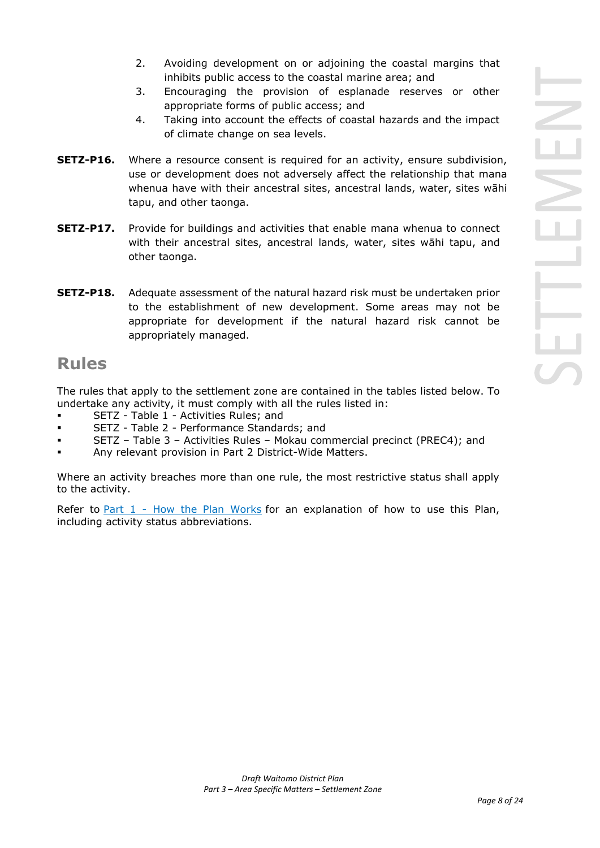- 2. Avoiding development on or adjoining the coastal margins that inhibits public access to the coastal marine area; and
- 3. Encouraging the provision of esplanade reserves or other appropriate forms of public access; and
- 4. Taking into account the effects of coastal hazards and the impact of climate change on sea levels.
- **SETZ-P16.** Where a resource consent is required for an activity, ensure subdivision, use or development does not adversely affect the relationship that mana whenua have with their ancestral sites, ancestral lands, water, sites wāhi tapu, and other taonga.
- **SETZ-P17.** Provide for buildings and activities that enable mana whenua to connect with their ancestral sites, ancestral lands, water, sites wāhi tapu, and other taonga.
- **SETZ-P18.** Adequate assessment of the natural hazard risk must be undertaken prior to the establishment of new development. Some areas may not be appropriate for development if the natural hazard risk cannot be appropriately managed.

# **Rules**

The rules that apply to the settlement zone are contained in the tables listed below. To undertake any activity, it must comply with all the rules listed in:

- SETZ Table 1 Activities Rules; and
- SETZ Table 2 Performance Standards; and
- SETZ Table 3 Activities Rules Mokau commercial precinct (PREC4); and
- Any relevant provision in Part 2 District-Wide Matters.

Where an activity breaches more than one rule, the most restrictive status shall apply to the activity.

Refer to [Part 1](javascript:void(0)) - How the Plan Works for an explanation of how to use this Plan, including activity status abbreviations.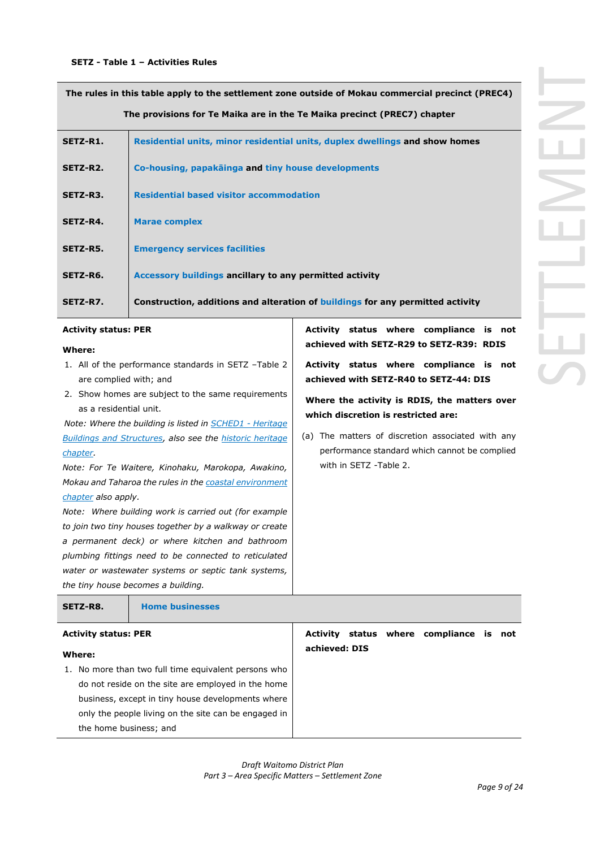**The rules in this table apply to the settlement zone outside of Mokau commercial precinct (PREC4) The provisions for Te Maika are in the Te Maika precinct (PREC7) chapter**

| SETZ-R1. | Residential units, minor residential units, duplex dwellings and show homes    |
|----------|--------------------------------------------------------------------------------|
| SETZ-R2. | Co-housing, papakäinga and tiny house developments                             |
| SETZ-R3. | <b>Residential based visitor accommodation</b>                                 |
| SETZ-R4. | <b>Marae complex</b>                                                           |
| SETZ-R5. | <b>Emergency services facilities</b>                                           |
| SETZ-R6. | Accessory buildings ancillary to any permitted activity                        |
| SETZ-R7. | Construction, additions and alteration of buildings for any permitted activity |

### **Activity status: PER**

#### **Where:**

- 1. All of the performance standards in SETZ –Table 2 are complied with; and
- 2. Show homes are subject to the same requirements as a residential unit.

*Note: Where the building is listed in SCHED1 - Heritage Buildings and Structures, also see the historic heritage chapter.*

*Note: For Te Waitere, Kinohaku, Marokopa, Awakino, Mokau and Taharoa the rules in the coastal environment chapter also apply.* 

*Note: Where building work is carried out (for example to join two tiny houses together by a walkway or create a permanent deck) or where kitchen and bathroom plumbing fittings need to be connected to reticulated water or wastewater systems or septic tank systems, the tiny house becomes a building.*

**Activity status where compliance is not achieved with SETZ-R29 to SETZ-R39: RDIS**

**Activity status where compliance is not achieved with SETZ-R40 to SETZ-44: DIS**

**Where the activity is RDIS, the matters over which discretion is restricted are:**

(a) The matters of discretion associated with any performance standard which cannot be complied with in SETZ -Table 2.

| SETZ-R8.                    | <b>Home businesses</b>                               |               |  |                                |  |
|-----------------------------|------------------------------------------------------|---------------|--|--------------------------------|--|
| <b>Activity status: PER</b> |                                                      | Activity      |  | status where compliance is not |  |
| Where:                      |                                                      | achieved: DIS |  |                                |  |
|                             | 1. No more than two full time equivalent persons who |               |  |                                |  |
|                             | do not reside on the site are employed in the home   |               |  |                                |  |
|                             | business, except in tiny house developments where    |               |  |                                |  |
|                             | only the people living on the site can be engaged in |               |  |                                |  |
| the home business; and      |                                                      |               |  |                                |  |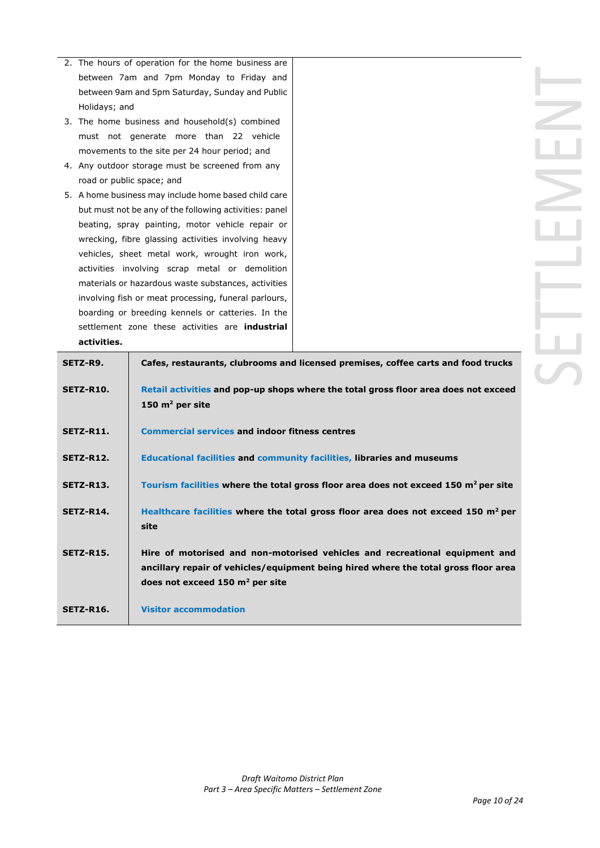- 2. The hours of operation for the home business are between 7am and 7pm Monday to Friday and between 9am and 5pm Saturday, Sunday and Public Holidays; and
- 3. The home business and household(s) combined must not generate more than 22 vehicle movements to the site per 24 hour period; and
- 4. Any outdoor storage must be screened from any road or public space; and
- 5. A home business may include home based child care but must not be any of the following activities: panel beating, spray painting, motor vehicle repair or wrecking, fibre glassing activities involving heavy vehicles, sheet metal work, wrought iron work, activities involving scrap metal or demolition materials or hazardous waste substances, activities involving fish or meat processing, funeral parlours, boarding or breeding kennels or catteries. In the settlement zone these activities are **industrial activities.**

| SETZ-R9.         | Cafes, restaurants, clubrooms and licensed premises, coffee carts and food trucks                                                                                                                                |
|------------------|------------------------------------------------------------------------------------------------------------------------------------------------------------------------------------------------------------------|
| SETZ-R10.        | Retail activities and pop-up shops where the total gross floor area does not exceed<br>150 $m2$ per site                                                                                                         |
| SETZ-R11.        | <b>Commercial services and indoor fitness centres</b>                                                                                                                                                            |
| <b>SETZ-R12.</b> | <b>Educational facilities and community facilities, libraries and museums</b>                                                                                                                                    |
| SETZ-R13.        | Tourism facilities where the total gross floor area does not exceed 150 m <sup>2</sup> per site                                                                                                                  |
| SETZ-R14.        | Healthcare facilities where the total gross floor area does not exceed 150 $m2$ per<br>site                                                                                                                      |
| <b>SETZ-R15.</b> | Hire of motorised and non-motorised vehicles and recreational equipment and<br>ancillary repair of vehicles/equipment being hired where the total gross floor area<br>does not exceed $150 \text{ m}^2$ per site |
| <b>SETZ-R16.</b> | <b>Visitor accommodation</b>                                                                                                                                                                                     |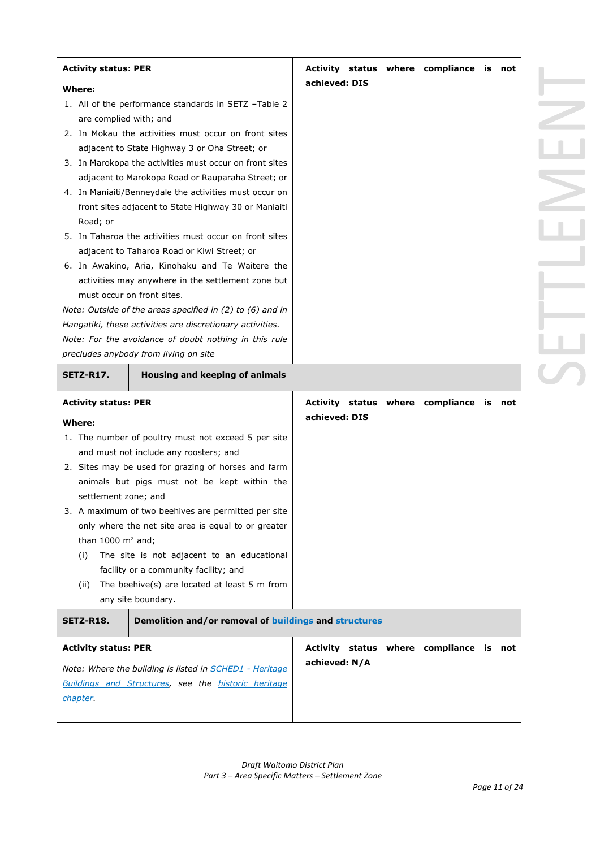| <b>Activity status: PER</b>                                          |                                                                                                                                                                                                                                                                                                                                                                                                                                                                                                                                                                                                                                                                                                                                                                                | Activity status where compliance is not                  |  |  |
|----------------------------------------------------------------------|--------------------------------------------------------------------------------------------------------------------------------------------------------------------------------------------------------------------------------------------------------------------------------------------------------------------------------------------------------------------------------------------------------------------------------------------------------------------------------------------------------------------------------------------------------------------------------------------------------------------------------------------------------------------------------------------------------------------------------------------------------------------------------|----------------------------------------------------------|--|--|
| <b>Where:</b>                                                        |                                                                                                                                                                                                                                                                                                                                                                                                                                                                                                                                                                                                                                                                                                                                                                                | achieved: DIS                                            |  |  |
| are complied with; and<br>Road; or                                   | 1. All of the performance standards in SETZ -Table 2<br>2. In Mokau the activities must occur on front sites<br>adjacent to State Highway 3 or Oha Street; or<br>3. In Marokopa the activities must occur on front sites<br>adjacent to Marokopa Road or Rauparaha Street; or<br>4. In Maniaiti/Benneydale the activities must occur on<br>front sites adjacent to State Highway 30 or Maniaiti<br>5. In Taharoa the activities must occur on front sites<br>adjacent to Taharoa Road or Kiwi Street; or<br>6. In Awakino, Aria, Kinohaku and Te Waitere the<br>activities may anywhere in the settlement zone but<br>must occur on front sites.<br>Note: Outside of the areas specified in $(2)$ to $(6)$ and in<br>Hangatiki, these activities are discretionary activities. |                                                          |  |  |
|                                                                      | Note: For the avoidance of doubt nothing in this rule                                                                                                                                                                                                                                                                                                                                                                                                                                                                                                                                                                                                                                                                                                                          |                                                          |  |  |
|                                                                      | precludes anybody from living on site                                                                                                                                                                                                                                                                                                                                                                                                                                                                                                                                                                                                                                                                                                                                          |                                                          |  |  |
| SETZ-R17.                                                            | Housing and keeping of animals                                                                                                                                                                                                                                                                                                                                                                                                                                                                                                                                                                                                                                                                                                                                                 |                                                          |  |  |
| <b>Activity status: PER</b>                                          |                                                                                                                                                                                                                                                                                                                                                                                                                                                                                                                                                                                                                                                                                                                                                                                | Activity status where compliance is not<br>achieved: DIS |  |  |
| Where:<br>settlement zone; and<br>than 1000 $m2$ and;<br>(i)<br>(ii) | 1. The number of poultry must not exceed 5 per site<br>and must not include any roosters; and<br>2. Sites may be used for grazing of horses and farm<br>animals but pigs must not be kept within the<br>3. A maximum of two beehives are permitted per site<br>only where the net site area is equal to or greater<br>The site is not adjacent to an educational<br>facility or a community facility; and<br>The beehive(s) are located at least 5 m from<br>any site boundary.                                                                                                                                                                                                                                                                                                |                                                          |  |  |
| SETZ-R18.                                                            | Demolition and/or removal of buildings and structures                                                                                                                                                                                                                                                                                                                                                                                                                                                                                                                                                                                                                                                                                                                          |                                                          |  |  |
| <b>Activity status: PER</b>                                          | Note: Where the building is listed in <b>SCHED1</b> - Heritage                                                                                                                                                                                                                                                                                                                                                                                                                                                                                                                                                                                                                                                                                                                 | Activity status where compliance is not<br>achieved: N/A |  |  |
| chapter.                                                             | Buildings and Structures, see the historic heritage                                                                                                                                                                                                                                                                                                                                                                                                                                                                                                                                                                                                                                                                                                                            |                                                          |  |  |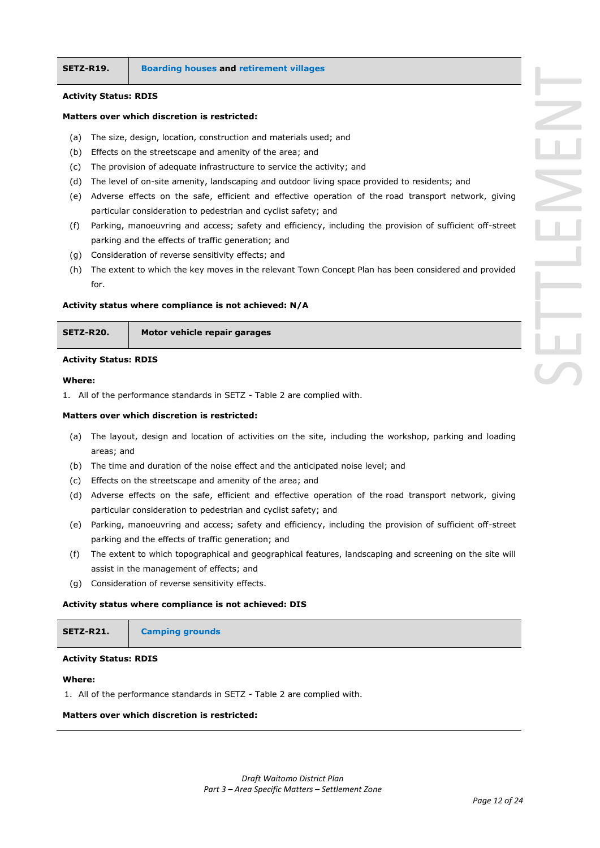#### **Activity Status: RDIS**

#### **Matters over which discretion is restricted:**

- (a) The size, design, location, construction and materials used; and
- (b) Effects on the streetscape and amenity of the area; and
- (c) The provision of adequate infrastructure to service the activity; and
- (d) The level of on-site amenity, landscaping and outdoor living space provided to residents; and
- (e) Adverse effects on the safe, efficient and effective operation of the road transport network, giving particular consideration to pedestrian and cyclist safety; and
- (f) Parking, manoeuvring and access; safety and efficiency, including the provision of sufficient off-street parking and the effects of traffic generation; and
- (g) Consideration of reverse sensitivity effects; and
- (h) The extent to which the key moves in the relevant Town Concept Plan has been considered and provided for.

#### **Activity status where compliance is not achieved: N/A**

**SETZ-R20. Motor vehicle repair garages**

#### **Activity Status: RDIS**

#### **Where:**

1. All of the performance standards in SETZ - Table 2 are complied with.

### **Matters over which discretion is restricted:**

- (a) The layout, design and location of activities on the site, including the workshop, parking and loading areas; and
- (b) The time and duration of the noise effect and the anticipated noise level; and
- (c) Effects on the streetscape and amenity of the area; and
- (d) Adverse effects on the safe, efficient and effective operation of the road transport network, giving particular consideration to pedestrian and cyclist safety; and
- (e) Parking, manoeuvring and access; safety and efficiency, including the provision of sufficient off-street parking and the effects of traffic generation; and
- (f) The extent to which topographical and geographical features, landscaping and screening on the site will assist in the management of effects; and
- (g) Consideration of reverse sensitivity effects.

#### **Activity status where compliance is not achieved: DIS**

| SETZ-R21. | <b>Camping grounds</b> |  |
|-----------|------------------------|--|
|-----------|------------------------|--|

#### **Activity Status: RDIS**

#### **Where:**

1. All of the performance standards in SETZ - Table 2 are complied with.

#### **Matters over which discretion is restricted:**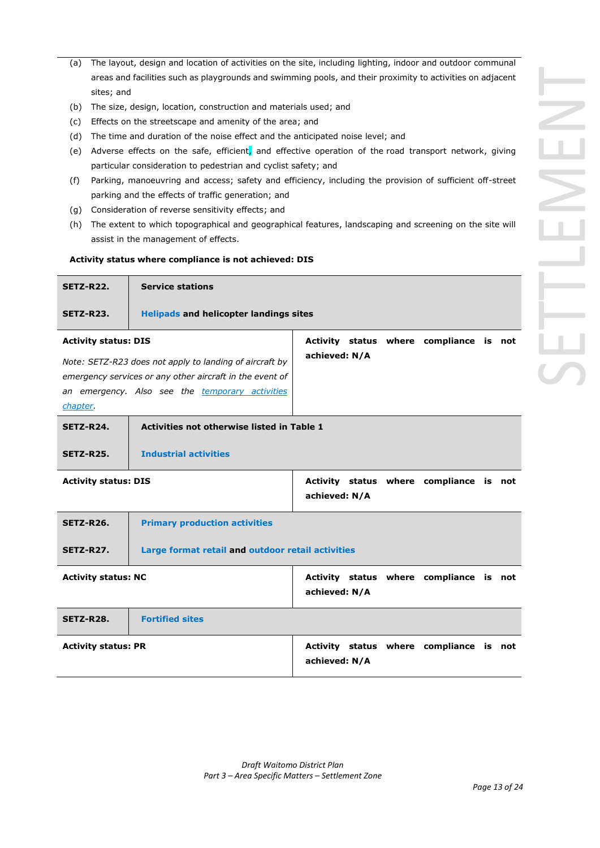- (a) The layout, design and location of activities on the site, including lighting, indoor and outdoor communal areas and facilities such as playgrounds and swimming pools, and their proximity to activities on adjacent sites; and
- (b) The size, design, location, construction and materials used; and
- (c) Effects on the streetscape and amenity of the area; and
- (d) The time and duration of the noise effect and the anticipated noise level; and
- (e) Adverse effects on the safe, efficient, and effective operation of the road transport network, giving particular consideration to pedestrian and cyclist safety; and
- (f) Parking, manoeuvring and access; safety and efficiency, including the provision of sufficient off-street parking and the effects of traffic generation; and
- (g) Consideration of reverse sensitivity effects; and
- (h) The extent to which topographical and geographical features, landscaping and screening on the site will assist in the management of effects.

#### **Activity status where compliance is not achieved: DIS**

| SETZ-R22.                   | <b>Service stations</b>                              |  |  |  |  |
|-----------------------------|------------------------------------------------------|--|--|--|--|
| SETZ-R23.                   | <b>Helipads and helicopter landings sites</b>        |  |  |  |  |
| <b>Activity status: DIS</b> | status where compliance is<br><b>Activity</b><br>not |  |  |  |  |

**achieved: N/A**

*Note: SETZ-R23 does not apply to landing of aircraft by emergency services or any other aircraft in the event of an emergency. Also see the temporary activities chapter.*

| SETZ-R24. | Activities not otherwise listed in Table 1 |
|-----------|--------------------------------------------|
| SETZ-R25. | <b>Industrial activities</b>               |

| <b>Activity status: DIS</b> |               |  | Activity status where compliance is not |  |
|-----------------------------|---------------|--|-----------------------------------------|--|
|                             | achieved: N/A |  |                                         |  |

| <b>SETZ-R26.</b>           | <b>Primary production activities</b>                     |                                                          |  |  |  |
|----------------------------|----------------------------------------------------------|----------------------------------------------------------|--|--|--|
| SETZ-R27.                  | Large format retail and outdoor retail activities        |                                                          |  |  |  |
| <b>Activity status: NC</b> |                                                          | Activity status where compliance is not<br>achieved: N/A |  |  |  |
| <b>SETZ-R28.</b>           | <b>Fortified sites</b>                                   |                                                          |  |  |  |
| <b>Activity status: PR</b> | Activity status where compliance is not<br>achieved: N/A |                                                          |  |  |  |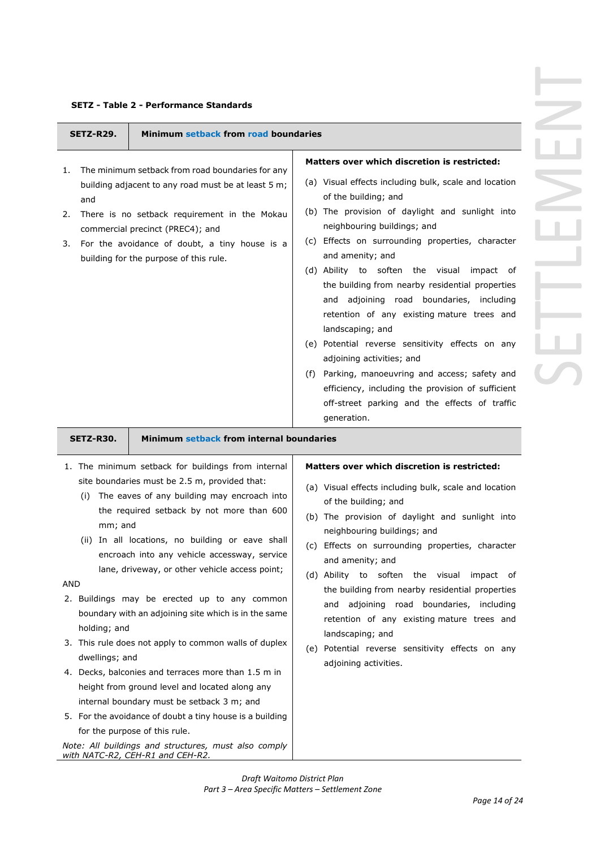|  | <b>SETZ - Table 2 - Performance Standards</b> |  |
|--|-----------------------------------------------|--|
|--|-----------------------------------------------|--|

| Minimum setback from road boundaries<br>SETZ-R29.                                                                                                                                                                                                                                                                                                                                                                                                                                                                                                                                                                                                                                                                                                                                                                                                                                                                                    |                                                                                                                                                                                                                                                                                                                                                                                                                                                                                                                                                                                                                                                                                                                                                                    |
|--------------------------------------------------------------------------------------------------------------------------------------------------------------------------------------------------------------------------------------------------------------------------------------------------------------------------------------------------------------------------------------------------------------------------------------------------------------------------------------------------------------------------------------------------------------------------------------------------------------------------------------------------------------------------------------------------------------------------------------------------------------------------------------------------------------------------------------------------------------------------------------------------------------------------------------|--------------------------------------------------------------------------------------------------------------------------------------------------------------------------------------------------------------------------------------------------------------------------------------------------------------------------------------------------------------------------------------------------------------------------------------------------------------------------------------------------------------------------------------------------------------------------------------------------------------------------------------------------------------------------------------------------------------------------------------------------------------------|
| The minimum setback from road boundaries for any<br>1.<br>building adjacent to any road must be at least 5 m;<br>and<br>There is no setback requirement in the Mokau<br>2.<br>commercial precinct (PREC4); and<br>For the avoidance of doubt, a tiny house is a<br>3.<br>building for the purpose of this rule.                                                                                                                                                                                                                                                                                                                                                                                                                                                                                                                                                                                                                      | Matters over which discretion is restricted:<br>(a) Visual effects including bulk, scale and location<br>of the building; and<br>(b) The provision of daylight and sunlight into<br>neighbouring buildings; and<br>(c) Effects on surrounding properties, character<br>and amenity; and<br>(d) Ability to soften the visual<br>impact of<br>the building from nearby residential properties<br>and adjoining road boundaries, including<br>retention of any existing mature trees and<br>landscaping; and<br>(e) Potential reverse sensitivity effects on any<br>adjoining activities; and<br>(f) Parking, manoeuvring and access; safety and<br>efficiency, including the provision of sufficient<br>off-street parking and the effects of traffic<br>generation. |
| Minimum setback from internal boundaries<br>SETZ-R30.                                                                                                                                                                                                                                                                                                                                                                                                                                                                                                                                                                                                                                                                                                                                                                                                                                                                                |                                                                                                                                                                                                                                                                                                                                                                                                                                                                                                                                                                                                                                                                                                                                                                    |
| 1. The minimum setback for buildings from internal<br>site boundaries must be 2.5 m, provided that:<br>The eaves of any building may encroach into<br>(i)<br>the required setback by not more than 600<br>mm; and<br>In all locations, no building or eave shall<br>(ii)<br>encroach into any vehicle accessway, service<br>lane, driveway, or other vehicle access point;<br>AND<br>2. Buildings may be erected up to any common<br>boundary with an adjoining site which is in the same<br>holding; and<br>3. This rule does not apply to common walls of duplex<br>dwellings; and<br>4. Decks, balconies and terraces more than 1.5 m in<br>height from ground level and located along any<br>internal boundary must be setback 3 m; and<br>5. For the avoidance of doubt a tiny house is a building<br>for the purpose of this rule.<br>Note: All buildings and structures, must also comply<br>with NATC-R2, CEH-R1 and CEH-R2. | Matters over which discretion is restricted:<br>(a) Visual effects including bulk, scale and location<br>of the building; and<br>(b) The provision of daylight and sunlight into<br>neighbouring buildings; and<br>(c) Effects on surrounding properties, character<br>and amenity; and<br>(d) Ability to soften the visual impact of<br>the building from nearby residential properties<br>and adjoining road boundaries, including<br>retention of any existing mature trees and<br>landscaping; and<br>(e) Potential reverse sensitivity effects on any<br>adjoining activities.                                                                                                                                                                                |

┝═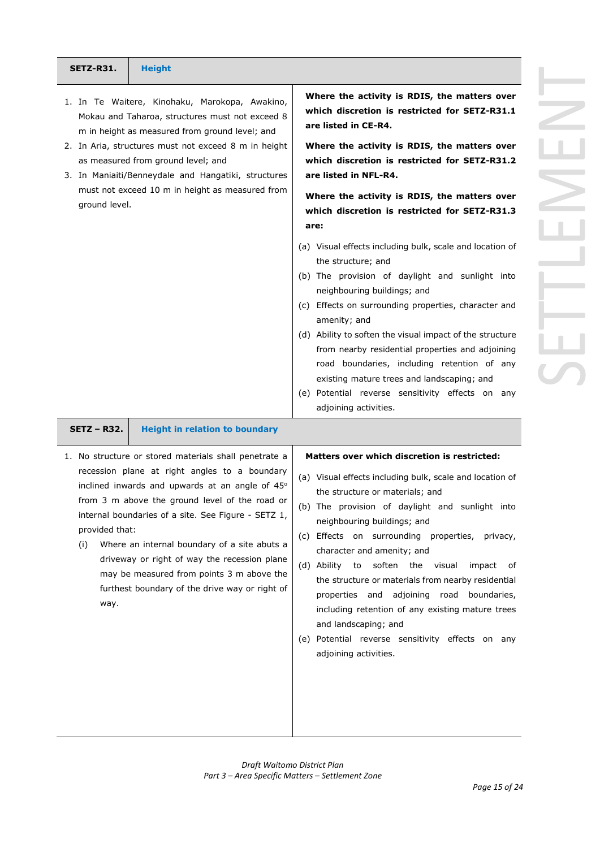|     | Where the activity is RDIS, the matters over                                                                 |
|-----|--------------------------------------------------------------------------------------------------------------|
|     | which discretion is restricted for SETZ-R31.1<br>are listed in CE-R4.                                        |
|     | Where the activity is RDIS, the matters over                                                                 |
|     | which discretion is restricted for SETZ-R31.2                                                                |
|     | are listed in NFL-R4.                                                                                        |
|     | Where the activity is RDIS, the matters over<br>which discretion is restricted for SETZ-R31.3                |
|     | are:                                                                                                         |
|     | (a) Visual effects including bulk, scale and location of<br>the structure; and                               |
|     | (b) The provision of daylight and sunlight into<br>neighbouring buildings; and                               |
| (c) | Effects on surrounding properties, character and<br>amenity; and                                             |
|     | (d) Ability to soften the visual impact of the structure<br>from nearby residential properties and adjoining |
|     | road boundaries, including retention of any<br>existing mature trees and landscaping; and                    |

(e) Potential reverse sensitivity effects on any adjoining activities.

**SETZ-R31. Height**

ground level.

1. In Te Waitere, Kinohaku, Marokopa, Awakino, Mokau and Taharoa, structures must not exceed 8 m in height as measured from ground level; and 2. In Aria, structures must not exceed 8 m in height

3. In Maniaiti/Benneydale and Hangatiki, structures must not exceed 10 m in height as measured from

as measured from ground level; and

**SETZ – R32. Height in relation to boundary**

| 1. No structure or stored materials shall penetrate a |
|-------------------------------------------------------|
| recession plane at right angles to a boundary         |
| inclined inwards and upwards at an angle of 45°       |
| from 3 m above the ground level of the road or        |
| internal boundaries of a site. See Figure - SETZ 1,   |
| provided that:                                        |

(i) Where an internal boundary of a site abuts a driveway or right of way the recession plane may be measured from points 3 m above the furthest boundary of the drive way or right of way.

**Matters over which discretion is restricted:** 

- (a) Visual effects including bulk, scale and location of the structure or materials; and
- (b) The provision of daylight and sunlight into neighbouring buildings; and
- (c) Effects on surrounding properties, privacy, character and amenity; and
- (d) Ability to soften the visual impact of the structure or materials from nearby residential properties and adjoining road boundaries, including retention of any existing mature trees and landscaping; and
- (e) Potential reverse sensitivity effects on any adjoining activities.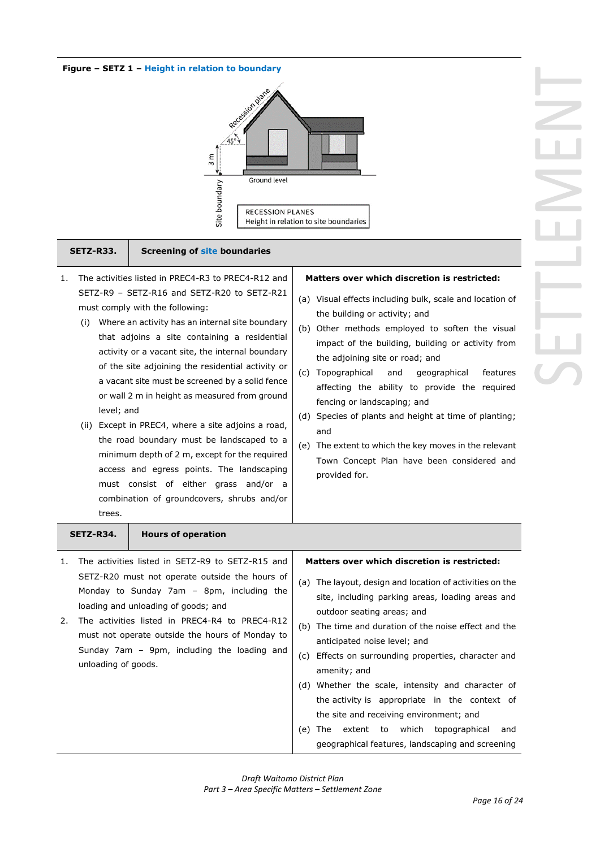#### **Figure – SETZ 1 – Height in relation to boundary**



#### **SETZ-R33. Screening of site boundaries**

- 1. The activities listed in PREC4-R3 to PREC4-R12 and SETZ-R9 – SETZ-R16 and SETZ-R20 to SETZ-R21 must comply with the following:
	- (i) Where an activity has an internal site boundary that adjoins a site containing a residential activity or a vacant site, the internal boundary of the site adjoining the residential activity or a vacant site must be screened by a solid fence or wall 2 m in height as measured from ground level; and
	- (ii) Except in PREC4, where a site adjoins a road, the road boundary must be landscaped to a minimum depth of 2 m, except for the required access and egress points. The landscaping must consist of either grass and/or a combination of groundcovers, shrubs and/or trees.

#### **Matters over which discretion is restricted:**

- (a) Visual effects including bulk, scale and location of the building or activity; and
- (b) Other methods employed to soften the visual impact of the building, building or activity from the adjoining site or road; and
- (c) Topographical and geographical features affecting the ability to provide the required fencing or landscaping; and
- (d) Species of plants and height at time of planting; and
- (e) The extent to which the key moves in the relevant Town Concept Plan have been considered and provided for.

| SETZ-R34.                       | <b>Hours of operation</b>                                                                                                                                                                                                                                                                                                                  |                                                                                                                                                                                                                                                                                                                                                                                                                                                                                                                                                                                                                              |
|---------------------------------|--------------------------------------------------------------------------------------------------------------------------------------------------------------------------------------------------------------------------------------------------------------------------------------------------------------------------------------------|------------------------------------------------------------------------------------------------------------------------------------------------------------------------------------------------------------------------------------------------------------------------------------------------------------------------------------------------------------------------------------------------------------------------------------------------------------------------------------------------------------------------------------------------------------------------------------------------------------------------------|
| 1.<br>2.<br>unloading of goods. | The activities listed in SETZ-R9 to SETZ-R15 and<br>SETZ-R20 must not operate outside the hours of<br>Monday to Sunday 7am - 8pm, including the<br>loading and unloading of goods; and<br>The activities listed in PREC4-R4 to PREC4-R12<br>must not operate outside the hours of Monday to<br>Sunday 7am - 9pm, including the loading and | Matters over which discretion is restricted:<br>(a) The layout, design and location of activities on the<br>site, including parking areas, loading areas and<br>outdoor seating areas; and<br>The time and duration of the noise effect and the<br>(b)<br>anticipated noise level; and<br>Effects on surrounding properties, character and<br>(c)<br>amenity; and<br>(d) Whether the scale, intensity and character of<br>the activity is appropriate in the context of<br>the site and receiving environment; and<br>extent to which topographical<br>(e)<br>The<br>and<br>geographical features, landscaping and screening |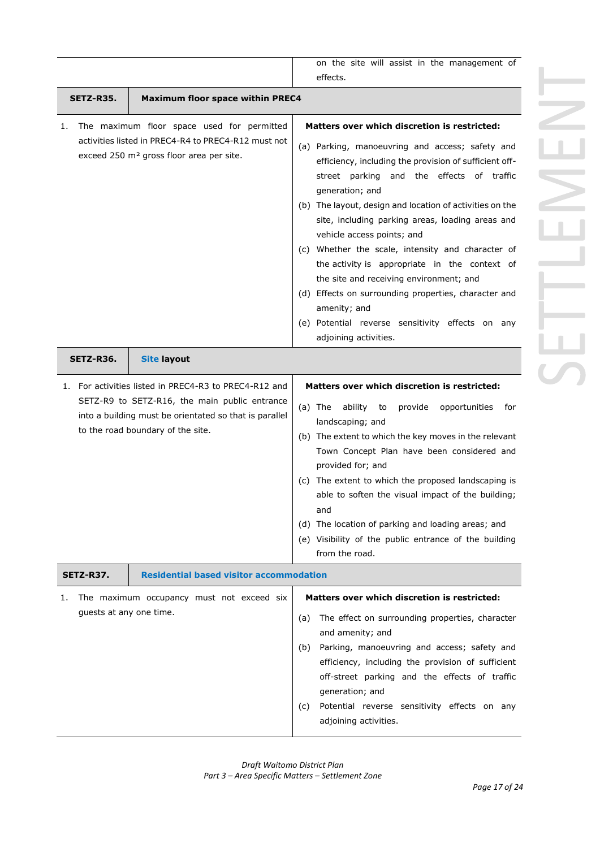|                         |                                                                                                                                                                                                                                                         | on the site will assist in the management of                                                                                                                                                                                                                                                                                                                                                                                                                                                                                                                                                                                                                                  |
|-------------------------|---------------------------------------------------------------------------------------------------------------------------------------------------------------------------------------------------------------------------------------------------------|-------------------------------------------------------------------------------------------------------------------------------------------------------------------------------------------------------------------------------------------------------------------------------------------------------------------------------------------------------------------------------------------------------------------------------------------------------------------------------------------------------------------------------------------------------------------------------------------------------------------------------------------------------------------------------|
|                         |                                                                                                                                                                                                                                                         | effects.                                                                                                                                                                                                                                                                                                                                                                                                                                                                                                                                                                                                                                                                      |
| SETZ-R35.               | <b>Maximum floor space within PREC4</b>                                                                                                                                                                                                                 |                                                                                                                                                                                                                                                                                                                                                                                                                                                                                                                                                                                                                                                                               |
| ı.                      | The maximum floor space used for permitted<br>activities listed in PREC4-R4 to PREC4-R12 must not<br>exceed 250 m <sup>2</sup> gross floor area per site.                                                                                               | Matters over which discretion is restricted:<br>(a) Parking, manoeuvring and access; safety and<br>efficiency, including the provision of sufficient off-<br>street parking and the effects of traffic<br>generation; and<br>(b) The layout, design and location of activities on the<br>site, including parking areas, loading areas and<br>vehicle access points; and<br>(c) Whether the scale, intensity and character of<br>the activity is appropriate in the context of<br>the site and receiving environment; and<br>(d) Effects on surrounding properties, character and<br>amenity; and<br>(e) Potential reverse sensitivity effects on any<br>adjoining activities. |
| SETZ-R36.               | <b>Site layout</b>                                                                                                                                                                                                                                      |                                                                                                                                                                                                                                                                                                                                                                                                                                                                                                                                                                                                                                                                               |
| SETZ-R37.               | 1. For activities listed in PREC4-R3 to PREC4-R12 and<br>SETZ-R9 to SETZ-R16, the main public entrance<br>into a building must be orientated so that is parallel<br>to the road boundary of the site.<br><b>Residential based visitor accommodation</b> | Matters over which discretion is restricted:<br>$(a)$ The<br>ability<br>to<br>provide<br>opportunities<br>for<br>landscaping; and<br>(b) The extent to which the key moves in the relevant<br>Town Concept Plan have been considered and<br>provided for; and<br>(c) The extent to which the proposed landscaping is<br>able to soften the visual impact of the building;<br>and<br>(d) The location of parking and loading areas; and<br>(e) Visibility of the public entrance of the building<br>from the road.                                                                                                                                                             |
| ı.                      | The maximum occupancy must not exceed six                                                                                                                                                                                                               | Matters over which discretion is restricted:                                                                                                                                                                                                                                                                                                                                                                                                                                                                                                                                                                                                                                  |
| guests at any one time. |                                                                                                                                                                                                                                                         | The effect on surrounding properties, character<br>(a)<br>and amenity; and<br>Parking, manoeuvring and access; safety and<br>(b)<br>efficiency, including the provision of sufficient<br>off-street parking and the effects of traffic<br>generation; and<br>Potential reverse sensitivity effects on any<br>(C)<br>adjoining activities.                                                                                                                                                                                                                                                                                                                                     |

*Draft Waitomo District Plan Part 3 – Area Specific Matters – Settlement Zone*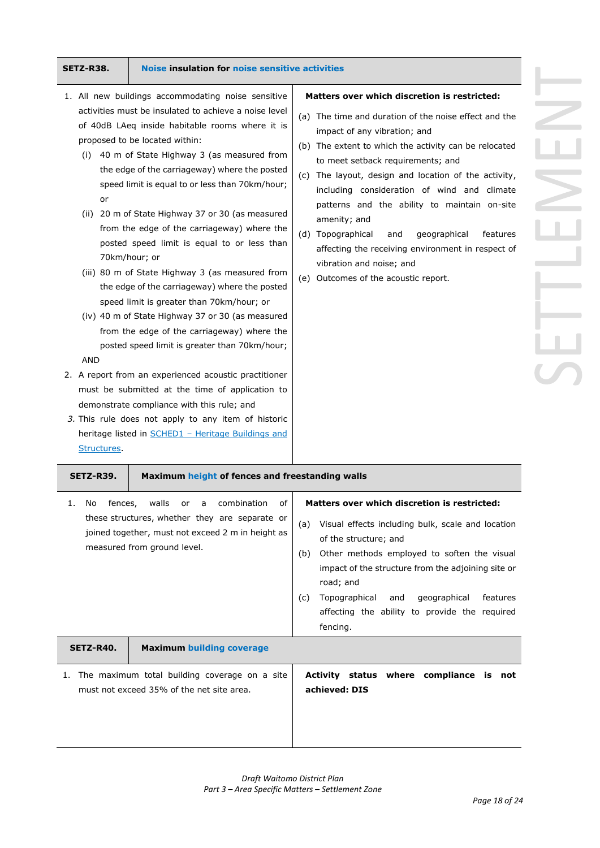or

AND

Structures.

proposed to be located within:

70km/hour; or

speed limit is greater than 70km/hour; or

demonstrate compliance with this rule; and *3.* This rule does not apply to any item of historic heritage listed in **SCHED1** - Heritage Buildings and

#### **SETZ-R38. Noise insulation for noise sensitive activities**

- 1. All new buildings accommodating noise sensitive activities must be insulated to achieve a noise level of 40dB LAeq inside habitable rooms where it is (i) 40 m of State Highway 3 (as measured from the edge of the carriageway) where the posted speed limit is equal to or less than 70km/hour; (ii) 20 m of State Highway 37 or 30 (as measured from the edge of the carriageway) where the posted speed limit is equal to or less than (iii) 80 m of State Highway 3 (as measured from the edge of the carriageway) where the posted (iv) 40 m of State Highway 37 or 30 (as measured from the edge of the carriageway) where the posted speed limit is greater than 70km/hour; 2. A report from an experienced acoustic practitioner must be submitted at the time of application to **Matters over which discretion is restricted:**  (a) The time and duration of the noise effect and the impact of any vibration; and (b) The extent to which the activity can be relocated to meet setback requirements; and (c) The layout, design and location of the activity, including consideration of wind and climate patterns and the ability to maintain on-site amenity; and (d) Topographical and geographical features affecting the receiving environment in respect of vibration and noise; and (e) Outcomes of the acoustic report.
- **SETZ-R39. Maximum height of fences and freestanding walls** 1. No fences, walls or a combination of these structures, whether they are separate or joined together, must not exceed 2 m in height as measured from ground level. **Matters over which discretion is restricted:** (a) Visual effects including bulk, scale and location of the structure; and (b) Other methods employed to soften the visual impact of the structure from the adjoining site or road; and (c) Topographical and geographical features affecting the ability to provide the required fencing. **SETZ-R40. Maximum building coverage** 1. The maximum total building coverage on a site must not exceed 35% of the net site area. **Activity status where compliance is not achieved: DIS**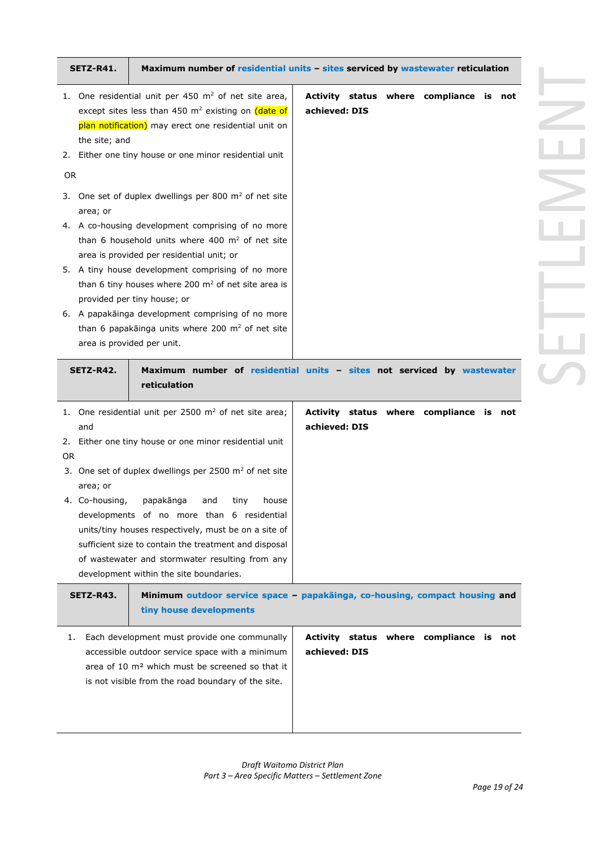|           | SETZ-R41.                                               |                                                                                                                                                                                                                                                                                                                                                                                                                                                                                                                                                                                                                                                                                                                                | Maximum number of residential units - sites serviced by wastewater reticulation |
|-----------|---------------------------------------------------------|--------------------------------------------------------------------------------------------------------------------------------------------------------------------------------------------------------------------------------------------------------------------------------------------------------------------------------------------------------------------------------------------------------------------------------------------------------------------------------------------------------------------------------------------------------------------------------------------------------------------------------------------------------------------------------------------------------------------------------|---------------------------------------------------------------------------------|
| <b>OR</b> | the site; and<br>area; or<br>area is provided per unit. | 1. One residential unit per 450 $m2$ of net site area,<br>except sites less than 450 m <sup>2</sup> existing on (date of<br>plan notification) may erect one residential unit on<br>2. Either one tiny house or one minor residential unit<br>3. One set of duplex dwellings per 800 $m2$ of net site<br>4. A co-housing development comprising of no more<br>than 6 household units where 400 $m2$ of net site<br>area is provided per residential unit; or<br>5. A tiny house development comprising of no more<br>than 6 tiny houses where 200 $m2$ of net site area is<br>provided per tiny house; or<br>6. A papakāinga development comprising of no more<br>than 6 papakāinga units where 200 m <sup>2</sup> of net site | Activity status where compliance is not<br>achieved: DIS                        |
|           | SETZ-R42.                                               | reticulation                                                                                                                                                                                                                                                                                                                                                                                                                                                                                                                                                                                                                                                                                                                   | Maximum number of residential units - sites not serviced by wastewater          |
| 0R        | and<br>area; or<br>4. Co-housing,                       | 1. One residential unit per 2500 $m2$ of net site area;<br>2. Either one tiny house or one minor residential unit<br>3. One set of duplex dwellings per 2500 m <sup>2</sup> of net site<br>papakānga<br>tiny<br>house<br>and<br>developments of no more than 6 residential<br>units/tiny houses respectively, must be on a site of<br>sufficient size to contain the treatment and disposal<br>of wastewater and stormwater resulting from any<br>development within the site boundaries.                                                                                                                                                                                                                                      | Activity status where compliance is not<br>achieved: DIS                        |
|           | SETZ-R43.                                               | tiny house developments                                                                                                                                                                                                                                                                                                                                                                                                                                                                                                                                                                                                                                                                                                        | Minimum outdoor service space - papakainga, co-housing, compact housing and     |
| 1.        |                                                         | Each development must provide one communally<br>accessible outdoor service space with a minimum<br>area of 10 m <sup>2</sup> which must be screened so that it<br>is not visible from the road boundary of the site.                                                                                                                                                                                                                                                                                                                                                                                                                                                                                                           | Activity status where compliance is not<br>achieved: DIS                        |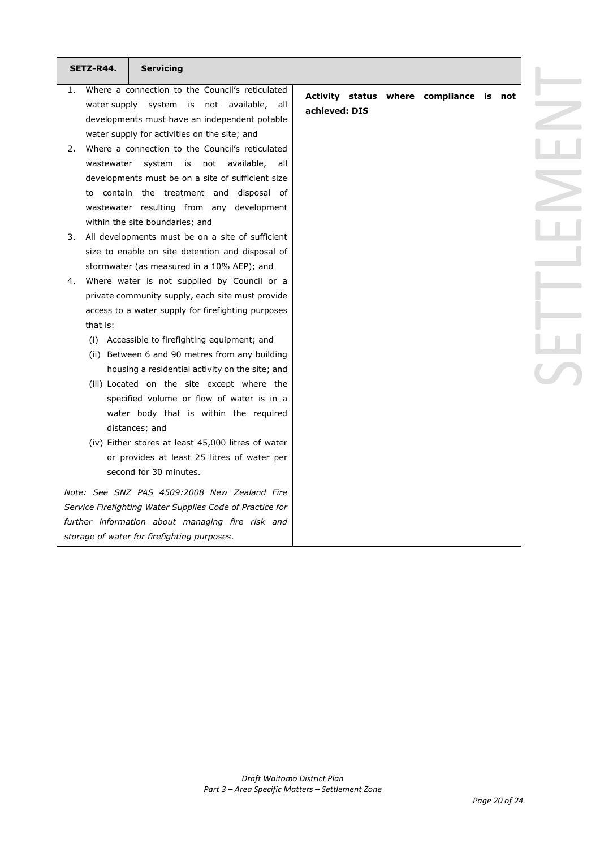|    | SETZ-R44.  | <b>Servicing</b>                                         |               |  |                                         |  |
|----|------------|----------------------------------------------------------|---------------|--|-----------------------------------------|--|
| 1. |            | Where a connection to the Council's reticulated          |               |  |                                         |  |
|    |            | water supply system is not available, all                |               |  | Activity status where compliance is not |  |
|    |            | developments must have an independent potable            | achieved: DIS |  |                                         |  |
|    |            | water supply for activities on the site; and             |               |  |                                         |  |
| 2. |            | Where a connection to the Council's reticulated          |               |  |                                         |  |
|    | wastewater | system is<br>not available,<br>all                       |               |  |                                         |  |
|    |            | developments must be on a site of sufficient size        |               |  |                                         |  |
|    |            | to contain the treatment and disposal of                 |               |  |                                         |  |
|    |            | wastewater resulting from any development                |               |  |                                         |  |
|    |            | within the site boundaries; and                          |               |  |                                         |  |
| 3. |            | All developments must be on a site of sufficient         |               |  |                                         |  |
|    |            | size to enable on site detention and disposal of         |               |  |                                         |  |
|    |            | stormwater (as measured in a 10% AEP); and               |               |  |                                         |  |
| 4. |            | Where water is not supplied by Council or a              |               |  |                                         |  |
|    |            | private community supply, each site must provide         |               |  |                                         |  |
|    |            | access to a water supply for firefighting purposes       |               |  |                                         |  |
|    | that is:   |                                                          |               |  |                                         |  |
|    | (i)        | Accessible to firefighting equipment; and                |               |  |                                         |  |
|    |            | (ii) Between 6 and 90 metres from any building           |               |  |                                         |  |
|    |            | housing a residential activity on the site; and          |               |  |                                         |  |
|    |            | (iii) Located on the site except where the               |               |  |                                         |  |
|    |            | specified volume or flow of water is in a                |               |  |                                         |  |
|    |            | water body that is within the required                   |               |  |                                         |  |
|    |            | distances; and                                           |               |  |                                         |  |
|    |            | (iv) Either stores at least 45,000 litres of water       |               |  |                                         |  |
|    |            | or provides at least 25 litres of water per              |               |  |                                         |  |
|    |            | second for 30 minutes.                                   |               |  |                                         |  |
|    |            | Note: See SNZ PAS 4509:2008 New Zealand Fire             |               |  |                                         |  |
|    |            | Service Firefighting Water Supplies Code of Practice for |               |  |                                         |  |
|    |            | further information about managing fire risk and         |               |  |                                         |  |
|    |            | storage of water for firefighting purposes.              |               |  |                                         |  |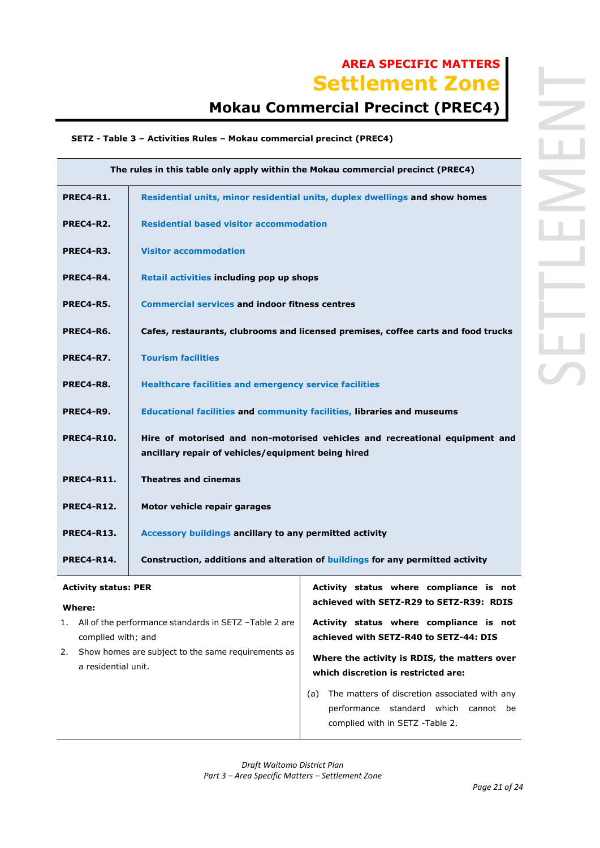# **AREA SPECIFIC MATTERS Settlement Zone**

# **Mokau Commercial Precinct (PREC4)**

### **SETZ - Table 3 – Activities Rules – Mokau commercial precinct (PREC4)**

| The rules in this table only apply within the Mokau commercial precinct (PREC4) |                                                                                                                                   |  |  |  |
|---------------------------------------------------------------------------------|-----------------------------------------------------------------------------------------------------------------------------------|--|--|--|
| PREC4-R1.                                                                       | Residential units, minor residential units, duplex dwellings and show homes                                                       |  |  |  |
| PREC4-R2.                                                                       | <b>Residential based visitor accommodation</b>                                                                                    |  |  |  |
| PREC4-R3.                                                                       | <b>Visitor accommodation</b>                                                                                                      |  |  |  |
| PREC4-R4.                                                                       | Retail activities including pop up shops                                                                                          |  |  |  |
| PREC4-R5.                                                                       | <b>Commercial services and indoor fitness centres</b>                                                                             |  |  |  |
| PREC4-R6.                                                                       | Cafes, restaurants, clubrooms and licensed premises, coffee carts and food trucks                                                 |  |  |  |
| PREC4-R7.                                                                       | <b>Tourism facilities</b>                                                                                                         |  |  |  |
| PREC4-R8.                                                                       | <b>Healthcare facilities and emergency service facilities</b>                                                                     |  |  |  |
| PREC4-R9.                                                                       | Educational facilities and community facilities, libraries and museums                                                            |  |  |  |
| <b>PREC4-R10.</b>                                                               | Hire of motorised and non-motorised vehicles and recreational equipment and<br>ancillary repair of vehicles/equipment being hired |  |  |  |
| <b>PREC4-R11.</b>                                                               | <b>Theatres and cinemas</b>                                                                                                       |  |  |  |
| <b>PREC4-R12.</b>                                                               | Motor vehicle repair garages                                                                                                      |  |  |  |
| <b>PREC4-R13.</b>                                                               | Accessory buildings ancillary to any permitted activity                                                                           |  |  |  |
| PREC4-R14.                                                                      | Construction, additions and alteration of buildings for any permitted activity                                                    |  |  |  |
| <b>Activity status: PER</b><br>Activity status where compliance is not          |                                                                                                                                   |  |  |  |

### **Where:**

- 1. All of the performance standards in SETZ –Table 2 are complied with; and
- 2. Show homes are subject to the same requirements as a residential unit.

**achieved with SETZ-R29 to SETZ-R39: RDIS**

**Activity status where compliance is not achieved with SETZ-R40 to SETZ-44: DIS** 

**Where the activity is RDIS, the matters over which discretion is restricted are:**

(a) The matters of discretion associated with any performance standard which cannot be complied with in SETZ -Table 2.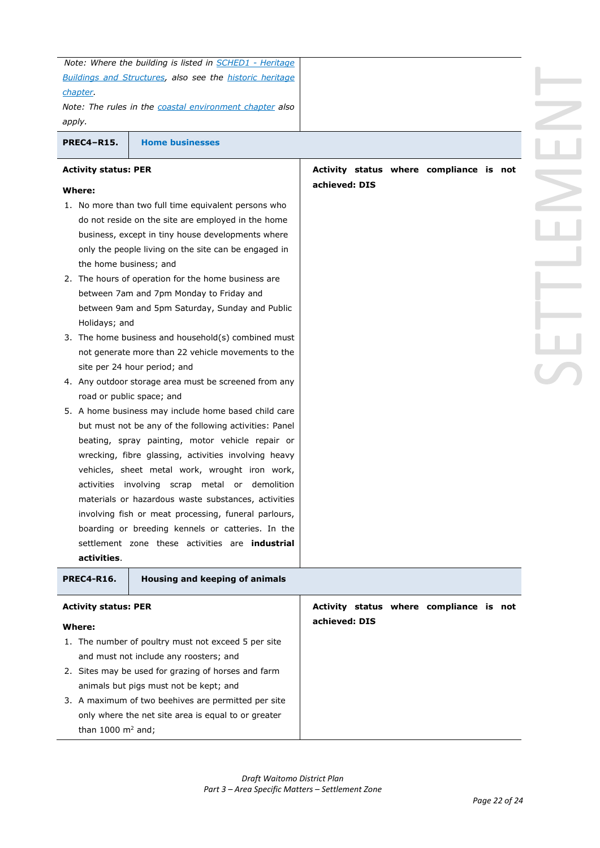| chapter.<br>apply.                    | Note: Where the building is listed in SCHED1 - Heritage<br><b>Buildings and Structures, also see the historic heritage</b><br>Note: The rules in the coastal environment chapter also                                                                                                                                                                                                                                                                                                                                                                                                                                              |                                                          |  |  |
|---------------------------------------|------------------------------------------------------------------------------------------------------------------------------------------------------------------------------------------------------------------------------------------------------------------------------------------------------------------------------------------------------------------------------------------------------------------------------------------------------------------------------------------------------------------------------------------------------------------------------------------------------------------------------------|----------------------------------------------------------|--|--|
| <b>PREC4-R15.</b>                     | <b>Home businesses</b>                                                                                                                                                                                                                                                                                                                                                                                                                                                                                                                                                                                                             |                                                          |  |  |
| <b>Activity status: PER</b>           |                                                                                                                                                                                                                                                                                                                                                                                                                                                                                                                                                                                                                                    | Activity status where compliance is not                  |  |  |
| Where:                                |                                                                                                                                                                                                                                                                                                                                                                                                                                                                                                                                                                                                                                    | achieved: DIS                                            |  |  |
| the home business; and                | 1. No more than two full time equivalent persons who<br>do not reside on the site are employed in the home<br>business, except in tiny house developments where<br>only the people living on the site can be engaged in                                                                                                                                                                                                                                                                                                                                                                                                            |                                                          |  |  |
| Holidays; and                         | 2. The hours of operation for the home business are<br>between 7am and 7pm Monday to Friday and<br>between 9am and 5pm Saturday, Sunday and Public                                                                                                                                                                                                                                                                                                                                                                                                                                                                                 |                                                          |  |  |
|                                       | 3. The home business and household(s) combined must<br>not generate more than 22 vehicle movements to the<br>site per 24 hour period; and                                                                                                                                                                                                                                                                                                                                                                                                                                                                                          |                                                          |  |  |
|                                       | 4. Any outdoor storage area must be screened from any                                                                                                                                                                                                                                                                                                                                                                                                                                                                                                                                                                              |                                                          |  |  |
| activities.<br><b>PREC4-R16.</b>      | road or public space; and<br>5. A home business may include home based child care<br>but must not be any of the following activities: Panel<br>beating, spray painting, motor vehicle repair or<br>wrecking, fibre glassing, activities involving heavy<br>vehicles, sheet metal work, wrought iron work,<br>activities involving scrap metal or demolition<br>materials or hazardous waste substances, activities<br>involving fish or meat processing, funeral parlours,<br>boarding or breeding kennels or catteries. In the<br>settlement zone these activities are <b>industrial</b><br><b>Housing and keeping of animals</b> |                                                          |  |  |
|                                       |                                                                                                                                                                                                                                                                                                                                                                                                                                                                                                                                                                                                                                    |                                                          |  |  |
| <b>Activity status: PER</b><br>Where: |                                                                                                                                                                                                                                                                                                                                                                                                                                                                                                                                                                                                                                    | Activity status where compliance is not<br>achieved: DIS |  |  |
|                                       | 1. The number of poultry must not exceed 5 per site<br>and must not include any roosters; and<br>2. Sites may be used for grazing of horses and farm<br>animals but pigs must not be kept; and<br>3. A maximum of two beehives are permitted per site                                                                                                                                                                                                                                                                                                                                                                              |                                                          |  |  |
| than 1000 $m2$ and;                   | only where the net site area is equal to or greater                                                                                                                                                                                                                                                                                                                                                                                                                                                                                                                                                                                |                                                          |  |  |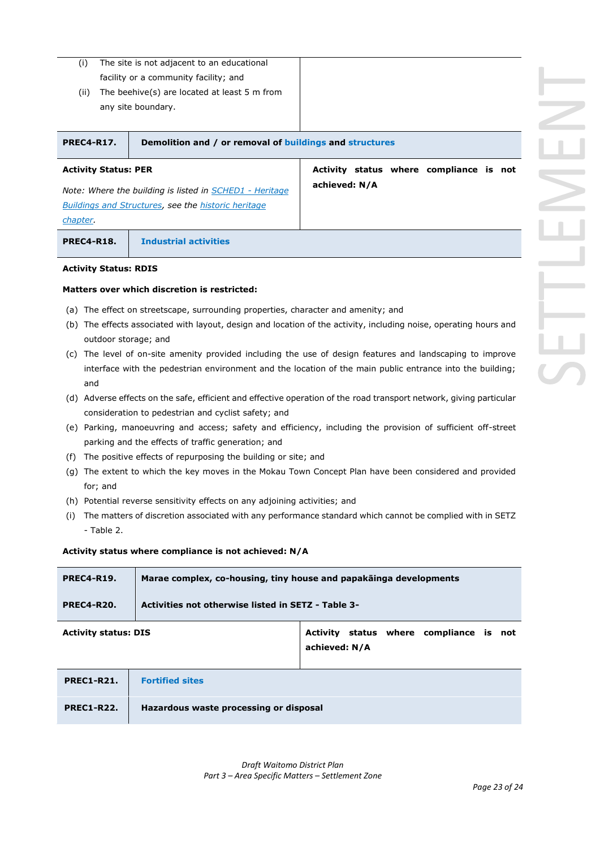- (i) The site is not adjacent to an educational facility or a community facility; and
- (ii) The beehive(s) are located at least 5 m from any site boundary.

| PREC4-R17.                  | Demolition and / or removal of buildings and structures |  |                                         |  |
|-----------------------------|---------------------------------------------------------|--|-----------------------------------------|--|
| <b>Activity Status: PER</b> |                                                         |  | Activity status where compliance is not |  |

**achieved: N/A**

*Note: Where the building is listed in SCHED1 - Heritage Buildings and Structures, see the historic heritage chapter.*

**PREC4-R18. Industrial activities** 

#### **Activity Status: RDIS**

#### **Matters over which discretion is restricted:**

- (a) The effect on streetscape, surrounding properties, character and amenity; and
- (b) The effects associated with layout, design and location of the activity, including noise, operating hours and outdoor storage; and
- (c) The level of on-site amenity provided including the use of design features and landscaping to improve interface with the pedestrian environment and the location of the main public entrance into the building; and
- (d) Adverse effects on the safe, efficient and effective operation of the road transport network, giving particular consideration to pedestrian and cyclist safety; and
- (e) Parking, manoeuvring and access; safety and efficiency, including the provision of sufficient off-street parking and the effects of traffic generation; and
- (f) The positive effects of repurposing the building or site; and
- (g) The extent to which the key moves in the Mokau Town Concept Plan have been considered and provided for; and
- (h) Potential reverse sensitivity effects on any adjoining activities; and
- (i) The matters of discretion associated with any performance standard which cannot be complied with in SETZ - Table 2.

#### **Activity status where compliance is not achieved: N/A**

| <b>PREC4-R19.</b> | Marae complex, co-housing, tiny house and papakainga developments |
|-------------------|-------------------------------------------------------------------|
| <b>PREC4-R20.</b> | Activities not otherwise listed in SETZ - Table 3-                |
|                   |                                                                   |

**Activity status: DIS Activity status where compliance is not achieved: N/A**

- **PREC1-R21. Fortified sites**
	- **PREC1-R22. Hazardous waste processing or disposal**